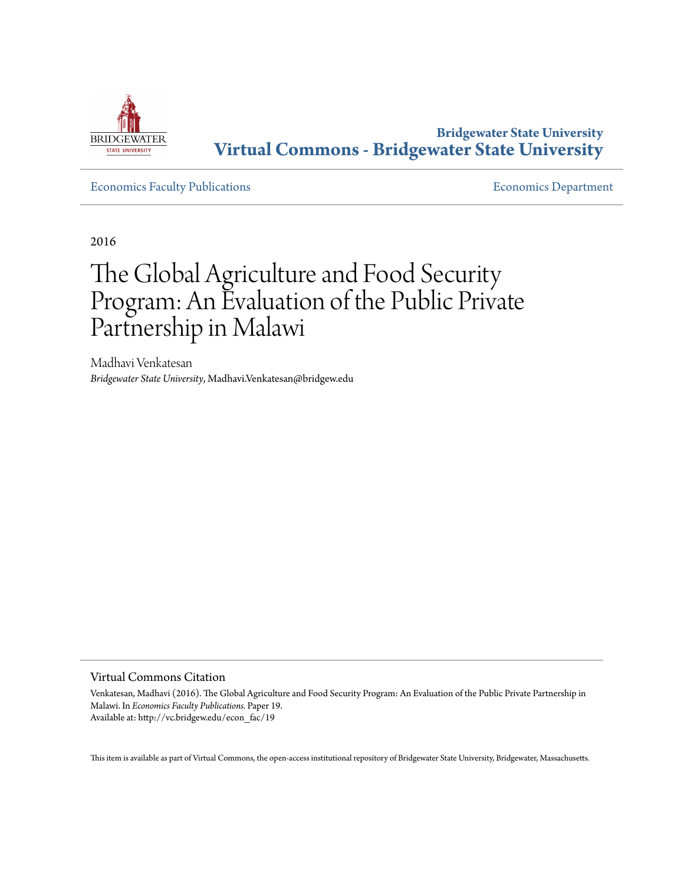

**Bridgewater State University [Virtual Commons - Bridgewater State University](http://vc.bridgew.edu)**

[Economics Faculty Publications](http://vc.bridgew.edu/econ_fac) **Economics** Department

2016

# The Global Agriculture and Food Security Program: An Evaluation of the Public Private Partnership in Malawi

Madhavi Venkatesan *Bridgewater State University*, Madhavi.Venkatesan@bridgew.edu

Virtual Commons Citation

Venkatesan, Madhavi (2016). The Global Agriculture and Food Security Program: An Evaluation of the Public Private Partnership in Malawi. In *Economics Faculty Publications.* Paper 19. Available at: http://vc.bridgew.edu/econ\_fac/19

This item is available as part of Virtual Commons, the open-access institutional repository of Bridgewater State University, Bridgewater, Massachusetts.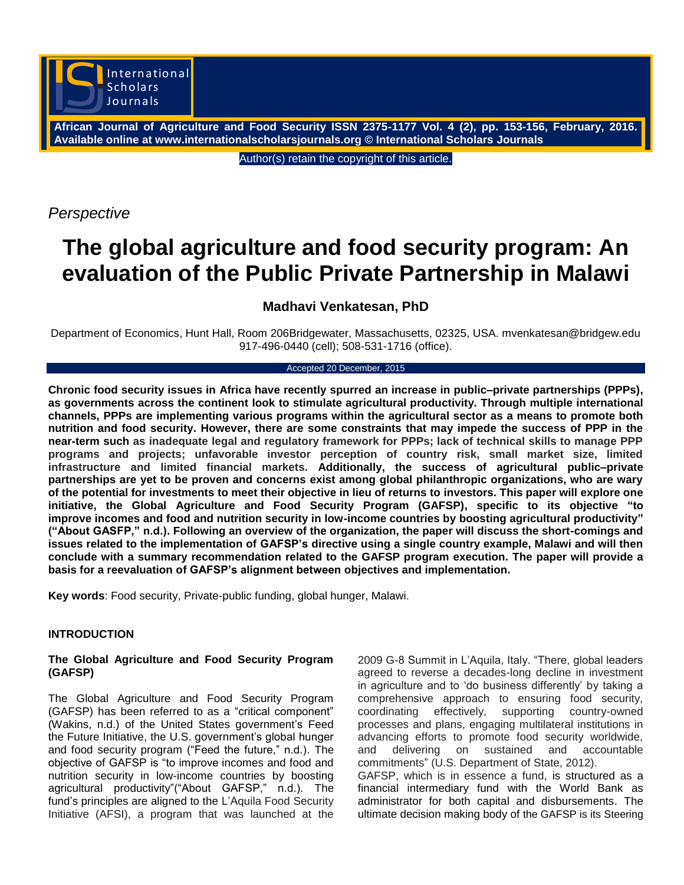

**African Journal of Agriculture and Food Security ISSN 2375-1177 Vol. 4 (2), pp. 153-156, February, 2016. Available online at www.internationalscholarsjournals.org © International Scholars Journals**

Author(s) retain the copyright of this article.

*Perspective*

# **The global agriculture and food security program: An evaluation of the Public Private Partnership in Malawi**

# **Madhavi Venkatesan, PhD**

Department of Economics, Hunt Hall, Room 206Bridgewater, Massachusetts, 02325, USA. mvenkatesan@bridgew.edu 917-496-0440 (cell); 508-531-1716 (office).

#### Accepted 20 December, 2015

**Chronic food security issues in Africa have recently spurred an increase in public–private partnerships (PPPs), as governments across the continent look to stimulate agricultural productivity. Through multiple international channels, PPPs are implementing various programs within the agricultural sector as a means to promote both nutrition and food security. However, there are some constraints that may impede the success of PPP in the near-term such as inadequate legal and regulatory framework for PPPs; lack of technical skills to manage PPP programs and projects; unfavorable investor perception of country risk, small market size, limited infrastructure and limited financial markets. Additionally, the success of agricultural public–private partnerships are yet to be proven and concerns exist among global philanthropic organizations, who are wary of the potential for investments to meet their objective in lieu of returns to investors. This paper will explore one initiative, the Global Agriculture and Food Security Program (GAFSP), specific to its objective "to improve incomes and food and nutrition security in low-income countries by boosting agricultural productivity" ("About GASFP," n.d.). Following an overview of the organization, the paper will discuss the short-comings and issues related to the implementation of GAFSP's directive using a single country example, Malawi and will then conclude with a summary recommendation related to the GAFSP program execution. The paper will provide a basis for a reevaluation of GAFSP's alignment between objectives and implementation.** 

**Key words**: Food security, Private-public funding, global hunger, Malawi.

# **INTRODUCTION**

#### **The Global Agriculture and Food Security Program (GAFSP)**

The Global Agriculture and Food Security Program (GAFSP) has been referred to as a "critical component" (Wakins, n.d.) of the United States government's Feed the Future Initiative, the U.S. government's global hunger and food security program ("Feed the future," n.d.). The objective of GAFSP is "to improve incomes and food and nutrition security in low-income countries by boosting agricultural productivity"("About GAFSP," n.d.). The fund"s principles are aligned to the L"Aquila Food Security Initiative (AFSI), a program that was launched at the

2009 G-8 Summit in L"Aquila, Italy. "There, global leaders agreed to reverse a decades-long decline in investment in agriculture and to "do business differently" by taking a comprehensive approach to ensuring food security, coordinating effectively, supporting country-owned processes and plans, engaging multilateral institutions in advancing efforts to promote food security worldwide, and delivering on sustained and accountable commitments" (U.S. Department of State, 2012).

GAFSP, which is in essence a fund, is structured as a financial intermediary fund with the World Bank as administrator for both capital and disbursements. The ultimate decision making body of the GAFSP is its Steering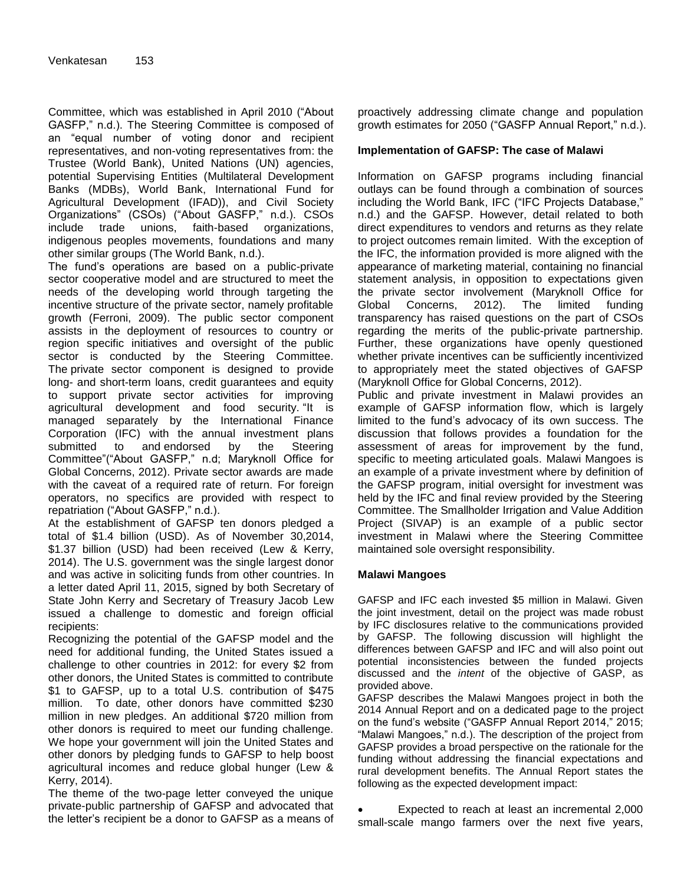Committee, which was established in April 2010 ("About GASFP," n.d.). The Steering Committee is composed of an "equal number of voting donor and recipient representatives, and non-voting representatives from: the Trustee (World Bank), United Nations (UN) agencies, potential Supervising Entities (Multilateral Development Banks (MDBs), World Bank, International Fund for Agricultural Development (IFAD)), and Civil Society Organizations" (CSOs) ("About GASFP," n.d.). CSOs include trade unions, faith-based organizations, indigenous peoples movements, foundations and many other similar groups (The World Bank, n.d.).

The fund"s operations are based on a public-private sector cooperative model and are structured to meet the needs of the developing world through targeting the incentive structure of the private sector, namely profitable growth (Ferroni, 2009). The public sector component assists in the deployment of resources to country or region specific initiatives and oversight of the public sector is conducted by the Steering Committee. The [private sector component i](http://www.gafspfund.org/gafsp/content/private-sector-window)s designed to provide long- and short-term loans, credit guarantees and equity to support private sector activities for improving agricultural development and food security. "It is managed separately by the International Finance Corporation (IFC) with the annual investment plans submitted to and endorsed by the Steering Committee"("About GASFP," n.d; Maryknoll Office for Global Concerns, 2012). Private sector awards are made with the caveat of a required rate of return. For foreign operators, no specifics are provided with respect to repatriation ("About GASFP," n.d.).

At the establishment of GAFSP ten donors pledged a total of \$1.4 billion (USD). As of November 30,2014, \$1.37 billion (USD) had been received (Lew & Kerry, 2014). The U.S. government was the single largest donor and was active in soliciting funds from other countries. In a letter dated April 11, 2015, signed by both Secretary of State John Kerry and Secretary of Treasury Jacob Lew issued a challenge to domestic and foreign official recipients:

Recognizing the potential of the GAFSP model and the need for additional funding, the United States issued a challenge to other countries in 2012: for every \$2 from other donors, the United States is committed to contribute \$1 to GAFSP, up to a total U.S. contribution of \$475 million. To date, other donors have committed \$230 million in new pledges. An additional \$720 million from other donors is required to meet our funding challenge. We hope your government will join the United States and other donors by pledging funds to GAFSP to help boost agricultural incomes and reduce global hunger (Lew & Kerry, 2014).

The theme of the two-page letter conveyed the unique private-public partnership of GAFSP and advocated that the letter"s recipient be a donor to GAFSP as a means of

proactively addressing climate change and population growth estimates for 2050 ("GASFP Annual Report," n.d.).

#### **Implementation of GAFSP: The case of Malawi**

Information on GAFSP programs including financial outlays can be found through a combination of sources including the World Bank, IFC ("IFC Projects Database," n.d.) and the GAFSP. However, detail related to both direct expenditures to vendors and returns as they relate to project outcomes remain limited. With the exception of the IFC, the information provided is more aligned with the appearance of marketing material, containing no financial statement analysis, in opposition to expectations given the private sector involvement (Maryknoll Office for Global Concerns, 2012). The limited funding transparency has raised questions on the part of CSOs regarding the merits of the public-private partnership. Further, these organizations have openly questioned whether private incentives can be sufficiently incentivized to appropriately meet the stated objectives of GAFSP (Maryknoll Office for Global Concerns, 2012).

Public and private investment in Malawi provides an example of GAFSP information flow, which is largely limited to the fund"s advocacy of its own success. The discussion that follows provides a foundation for the assessment of areas for improvement by the fund, specific to meeting articulated goals. Malawi Mangoes is an example of a private investment where by definition of the GAFSP program, initial oversight for investment was held by the IFC and final review provided by the Steering Committee. The Smallholder Irrigation and Value Addition Project (SIVAP) is an example of a public sector investment in Malawi where the Steering Committee maintained sole oversight responsibility.

#### **Malawi Mangoes**

GAFSP and IFC each invested \$5 million in Malawi. Given the joint investment, detail on the project was made robust by IFC disclosures relative to the communications provided by GAFSP. The following discussion will highlight the differences between GAFSP and IFC and will also point out potential inconsistencies between the funded projects discussed and the *intent* of the objective of GASP, as provided above.

GAFSP describes the Malawi Mangoes project in both the 2014 Annual Report and on a dedicated page to the project on the fund"s website ("GASFP Annual Report 2014," 2015; "Malawi Mangoes," n.d.). The description of the project from GAFSP provides a broad perspective on the rationale for the funding without addressing the financial expectations and rural development benefits. The Annual Report states the following as the expected development impact:

 Expected to reach at least an incremental 2,000 small-scale mango farmers over the next five years,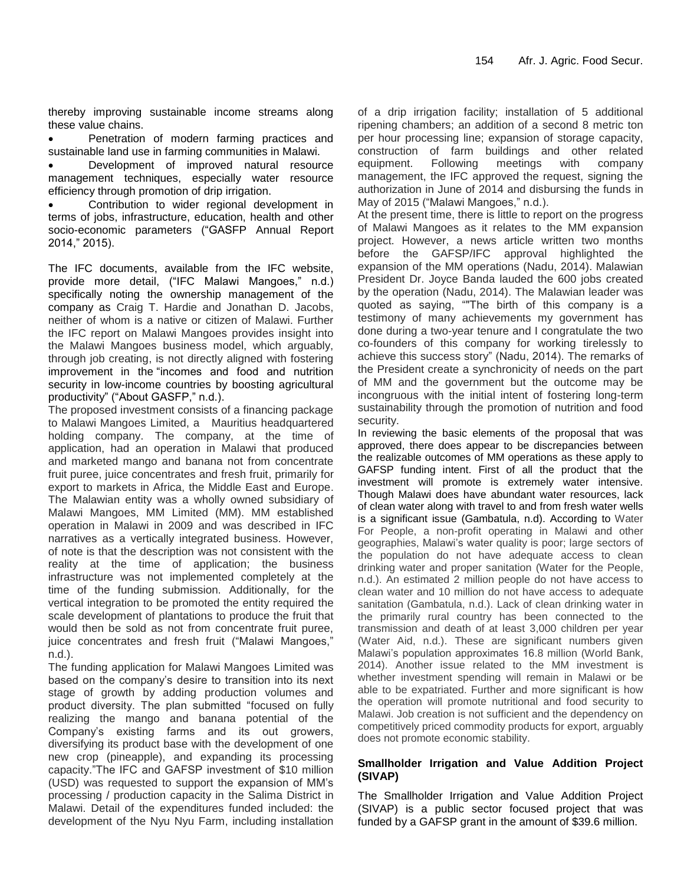thereby improving sustainable income streams along these value chains.

• Penetration of modern farming practices and sustainable land use in farming communities in Malawi.

 Development of improved natural resource management techniques, especially water resource efficiency through promotion of drip irrigation.

 Contribution to wider regional development in terms of jobs, infrastructure, education, health and other socio-economic parameters ("GASFP Annual Report 2014," 2015).

The IFC documents, available from the IFC website, provide more detail, ("IFC Malawi Mangoes," n.d.) specifically noting the ownership management of the company as Craig T. Hardie and Jonathan D. Jacobs, neither of whom is a native or citizen of Malawi. Further the IFC report on Malawi Mangoes provides insight into the Malawi Mangoes business model, which arguably, through job creating, is not directly aligned with fostering improvement in the "incomes and food and nutrition security in low-income countries by boosting agricultural productivity" ("About GASFP," n.d.).

The proposed investment consists of a financing package to Malawi Mangoes Limited, a Mauritius headquartered holding company. The company, at the time of application, had an operation in Malawi that produced and marketed mango and banana not from concentrate fruit puree, juice concentrates and fresh fruit, primarily for export to markets in Africa, the Middle East and Europe. The Malawian entity was a wholly owned subsidiary of Malawi Mangoes, MM Limited (MM). MM established operation in Malawi in 2009 and was described in IFC narratives as a vertically integrated business. However, of note is that the description was not consistent with the reality at the time of application; the business infrastructure was not implemented completely at the time of the funding submission. Additionally, for the vertical integration to be promoted the entity required the scale development of plantations to produce the fruit that would then be sold as not from concentrate fruit puree, juice concentrates and fresh fruit ("Malawi Mangoes," n.d.).

The funding application for Malawi Mangoes Limited was based on the company's desire to transition into its next stage of growth by adding production volumes and product diversity. The plan submitted "focused on fully realizing the mango and banana potential of the Company"s existing farms and its out growers, diversifying its product base with the development of one new crop (pineapple), and expanding its processing capacity."The IFC and GAFSP investment of \$10 million (USD) was requested to support the expansion of MM"s processing / production capacity in the Salima District in Malawi. Detail of the expenditures funded included: the development of the Nyu Nyu Farm, including installation

of a drip irrigation facility; installation of 5 additional ripening chambers; an addition of a second 8 metric ton per hour processing line; expansion of storage capacity, construction of farm buildings and other related equipment. Following meetings with company management, the IFC approved the request, signing the authorization in June of 2014 and disbursing the funds in May of 2015 ("Malawi Mangoes," n.d.).

At the present time, there is little to report on the progress of Malawi Mangoes as it relates to the MM expansion project. However, a news article written two months before the GAFSP/IFC approval highlighted the expansion of the MM operations (Nadu, 2014). Malawian President Dr. Joyce Banda lauded the 600 jobs created by the operation (Nadu, 2014). The Malawian leader was quoted as saying, ""The birth of this company is a testimony of many achievements my government has done during a two-year tenure and I congratulate the two co-founders of this company for working tirelessly to achieve this success story" (Nadu, 2014). The remarks of the President create a synchronicity of needs on the part of MM and the government but the outcome may be incongruous with the initial intent of fostering long-term sustainability through the promotion of nutrition and food security.

In reviewing the basic elements of the proposal that was approved, there does appear to be discrepancies between the realizable outcomes of MM operations as these apply to GAFSP funding intent. First of all the product that the investment will promote is extremely water intensive. Though Malawi does have abundant water resources, lack of clean water along with travel to and from fresh water wells is a significant issue (Gambatula, n.d). According to Water For People, a non-profit operating in Malawi and other geographies, Malawi"s water quality is poor; large sectors of the population do not have adequate access to clean drinking water and proper sanitation (Water for the People, n.d.). An estimated 2 million people do not have access to clean water and 10 million do not have access to adequate sanitation (Gambatula, n.d.). Lack of clean drinking water in the primarily rural country has been connected to the transmission and death of at least 3,000 children per year (Water Aid, n.d.). These are significant numbers given Malawi"s population approximates 16.8 million (World Bank, 2014). Another issue related to the MM investment is whether investment spending will remain in Malawi or be able to be expatriated. Further and more significant is how the operation will promote nutritional and food security to Malawi. Job creation is not sufficient and the dependency on competitively priced commodity products for export, arguably does not promote economic stability.

### **Smallholder Irrigation and Value Addition Project (SIVAP)**

The Smallholder Irrigation and Value Addition Project (SIVAP) is a public sector focused project that was funded by a GAFSP grant in the amount of \$39.6 million.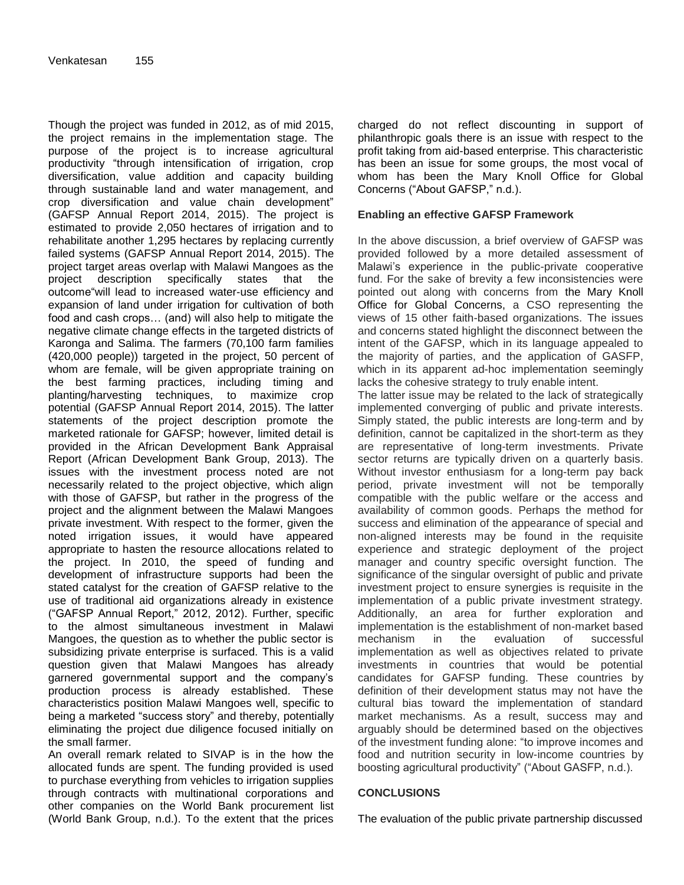Though the project was funded in 2012, as of mid 2015, the project remains in the implementation stage. The purpose of the project is to increase agricultural productivity "through intensification of irrigation, crop diversification, value addition and capacity building through sustainable land and water management, and crop diversification and value chain development" (GAFSP Annual Report 2014, 2015). The project is estimated to provide 2,050 hectares of irrigation and to rehabilitate another 1,295 hectares by replacing currently failed systems (GAFSP Annual Report 2014, 2015). The project target areas overlap with Malawi Mangoes as the project description specifically states that the outcome"will lead to increased water-use efficiency and expansion of land under irrigation for cultivation of both food and cash crops… (and) will also help to mitigate the negative climate change effects in the targeted districts of Karonga and Salima. The farmers (70,100 farm families (420,000 people)) targeted in the project, 50 percent of whom are female, will be given appropriate training on the best farming practices, including timing and planting/harvesting techniques, to maximize crop potential (GAFSP Annual Report 2014, 2015). The latter statements of the project description promote the marketed rationale for GAFSP; however, limited detail is provided in the African Development Bank Appraisal Report (African Development Bank Group, 2013). The issues with the investment process noted are not necessarily related to the project objective, which align with those of GAFSP, but rather in the progress of the project and the alignment between the Malawi Mangoes private investment. With respect to the former, given the noted irrigation issues, it would have appeared appropriate to hasten the resource allocations related to the project. In 2010, the speed of funding and development of infrastructure supports had been the stated catalyst for the creation of GAFSP relative to the use of traditional aid organizations already in existence ("GAFSP Annual Report," 2012, 2012). Further, specific to the almost simultaneous investment in Malawi Mangoes, the question as to whether the public sector is subsidizing private enterprise is surfaced. This is a valid question given that Malawi Mangoes has already garnered governmental support and the company"s production process is already established. These characteristics position Malawi Mangoes well, specific to being a marketed "success story" and thereby, potentially eliminating the project due diligence focused initially on the small farmer.

An overall remark related to SIVAP is in the how the allocated funds are spent. The funding provided is used to purchase everything from vehicles to irrigation supplies through contracts with multinational corporations and other companies on the World Bank procurement list (World Bank Group, n.d.). To the extent that the prices

charged do not reflect discounting in support of philanthropic goals there is an issue with respect to the profit taking from aid-based enterprise. This characteristic has been an issue for some groups, the most vocal of whom has been the Mary Knoll Office for Global Concerns ("About GAFSP," n.d.).

#### **Enabling an effective GAFSP Framework**

In the above discussion, a brief overview of GAFSP was provided followed by a more detailed assessment of Malawi"s experience in the public-private cooperative fund. For the sake of brevity a few inconsistencies were pointed out along with concerns from the Mary Knoll Office for Global Concerns, a CSO representing the views of 15 other faith-based organizations. The issues and concerns stated highlight the disconnect between the intent of the GAFSP, which in its language appealed to the majority of parties, and the application of GASFP, which in its apparent ad-hoc implementation seemingly lacks the cohesive strategy to truly enable intent.

The latter issue may be related to the lack of strategically implemented converging of public and private interests. Simply stated, the public interests are long-term and by definition, cannot be capitalized in the short-term as they are representative of long-term investments. Private sector returns are typically driven on a quarterly basis. Without investor enthusiasm for a long-term pay back period, private investment will not be temporally compatible with the public welfare or the access and availability of common goods. Perhaps the method for success and elimination of the appearance of special and non-aligned interests may be found in the requisite experience and strategic deployment of the project manager and country specific oversight function. The significance of the singular oversight of public and private investment project to ensure synergies is requisite in the implementation of a public private investment strategy. Additionally, an area for further exploration and implementation is the establishment of non-market based mechanism in the evaluation of successful implementation as well as objectives related to private investments in countries that would be potential candidates for GAFSP funding. These countries by definition of their development status may not have the cultural bias toward the implementation of standard market mechanisms. As a result, success may and arguably should be determined based on the objectives of the investment funding alone: "to improve incomes and food and nutrition security in low-income countries by boosting agricultural productivity" ("About GASFP, n.d.).

#### **CONCLUSIONS**

The evaluation of the public private partnership discussed